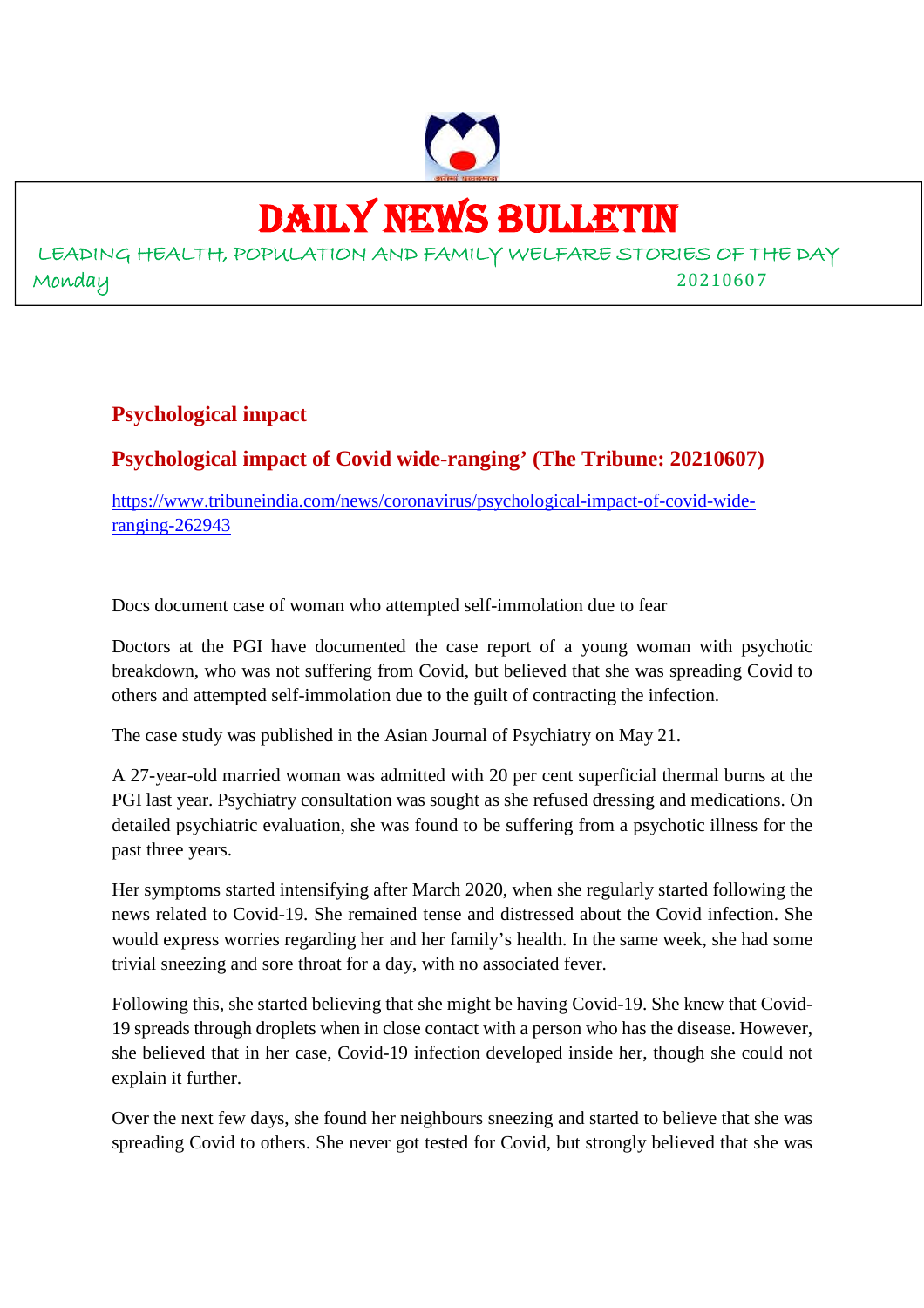

## DAILY NEWS BULLETIN

LEADING HEALTH, POPULATION AND FAMILY WELFARE STORIES OF THE DAY Monday 20210607

#### **Psychological impact**

#### **Psychological impact of Covid wide-ranging' (The Tribune: 20210607)**

https://www.tribuneindia.com/news/coronavirus/psychological-impact-of-covid-wideranging-262943

Docs document case of woman who attempted self-immolation due to fear

Doctors at the PGI have documented the case report of a young woman with psychotic breakdown, who was not suffering from Covid, but believed that she was spreading Covid to others and attempted self-immolation due to the guilt of contracting the infection.

The case study was published in the Asian Journal of Psychiatry on May 21.

A 27-year-old married woman was admitted with 20 per cent superficial thermal burns at the PGI last year. Psychiatry consultation was sought as she refused dressing and medications. On detailed psychiatric evaluation, she was found to be suffering from a psychotic illness for the past three years.

Her symptoms started intensifying after March 2020, when she regularly started following the news related to Covid-19. She remained tense and distressed about the Covid infection. She would express worries regarding her and her family's health. In the same week, she had some trivial sneezing and sore throat for a day, with no associated fever.

Following this, she started believing that she might be having Covid-19. She knew that Covid-19 spreads through droplets when in close contact with a person who has the disease. However, she believed that in her case, Covid-19 infection developed inside her, though she could not explain it further.

Over the next few days, she found her neighbours sneezing and started to believe that she was spreading Covid to others. She never got tested for Covid, but strongly believed that she was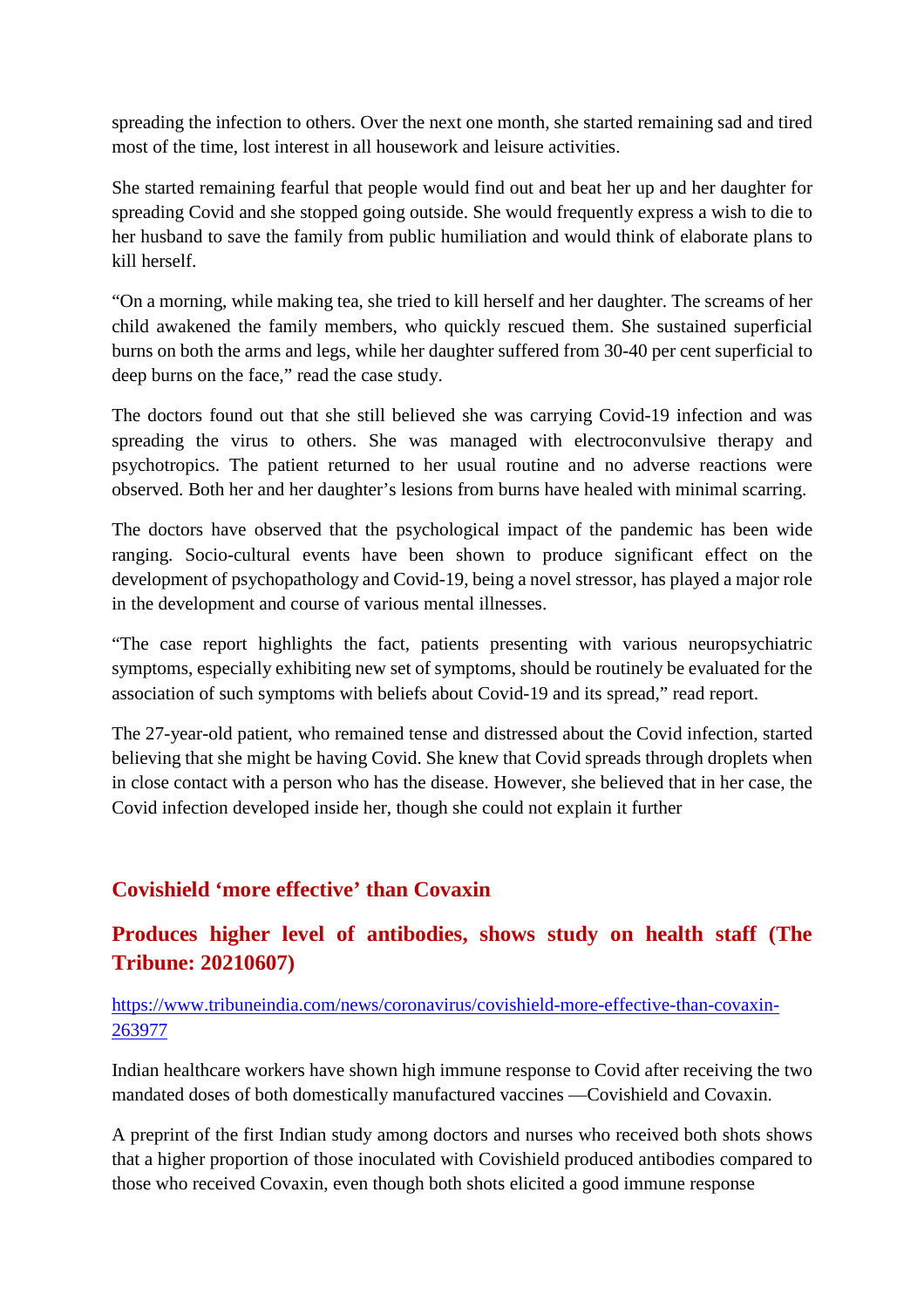spreading the infection to others. Over the next one month, she started remaining sad and tired most of the time, lost interest in all housework and leisure activities.

She started remaining fearful that people would find out and beat her up and her daughter for spreading Covid and she stopped going outside. She would frequently express a wish to die to her husband to save the family from public humiliation and would think of elaborate plans to kill herself.

"On a morning, while making tea, she tried to kill herself and her daughter. The screams of her child awakened the family members, who quickly rescued them. She sustained superficial burns on both the arms and legs, while her daughter suffered from 30-40 per cent superficial to deep burns on the face," read the case study.

The doctors found out that she still believed she was carrying Covid-19 infection and was spreading the virus to others. She was managed with electroconvulsive therapy and psychotropics. The patient returned to her usual routine and no adverse reactions were observed. Both her and her daughter's lesions from burns have healed with minimal scarring.

The doctors have observed that the psychological impact of the pandemic has been wide ranging. Socio-cultural events have been shown to produce significant effect on the development of psychopathology and Covid-19, being a novel stressor, has played a major role in the development and course of various mental illnesses.

"The case report highlights the fact, patients presenting with various neuropsychiatric symptoms, especially exhibiting new set of symptoms, should be routinely be evaluated for the association of such symptoms with beliefs about Covid-19 and its spread," read report.

The 27-year-old patient, who remained tense and distressed about the Covid infection, started believing that she might be having Covid. She knew that Covid spreads through droplets when in close contact with a person who has the disease. However, she believed that in her case, the Covid infection developed inside her, though she could not explain it further

#### **Covishield 'more effective' than Covaxin**

#### **Produces higher level of antibodies, shows study on health staff (The Tribune: 20210607)**

#### https://www.tribuneindia.com/news/coronavirus/covishield-more-effective-than-covaxin-263977

Indian healthcare workers have shown high immune response to Covid after receiving the two mandated doses of both domestically manufactured vaccines —Covishield and Covaxin.

A preprint of the first Indian study among doctors and nurses who received both shots shows that a higher proportion of those inoculated with Covishield produced antibodies compared to those who received Covaxin, even though both shots elicited a good immune response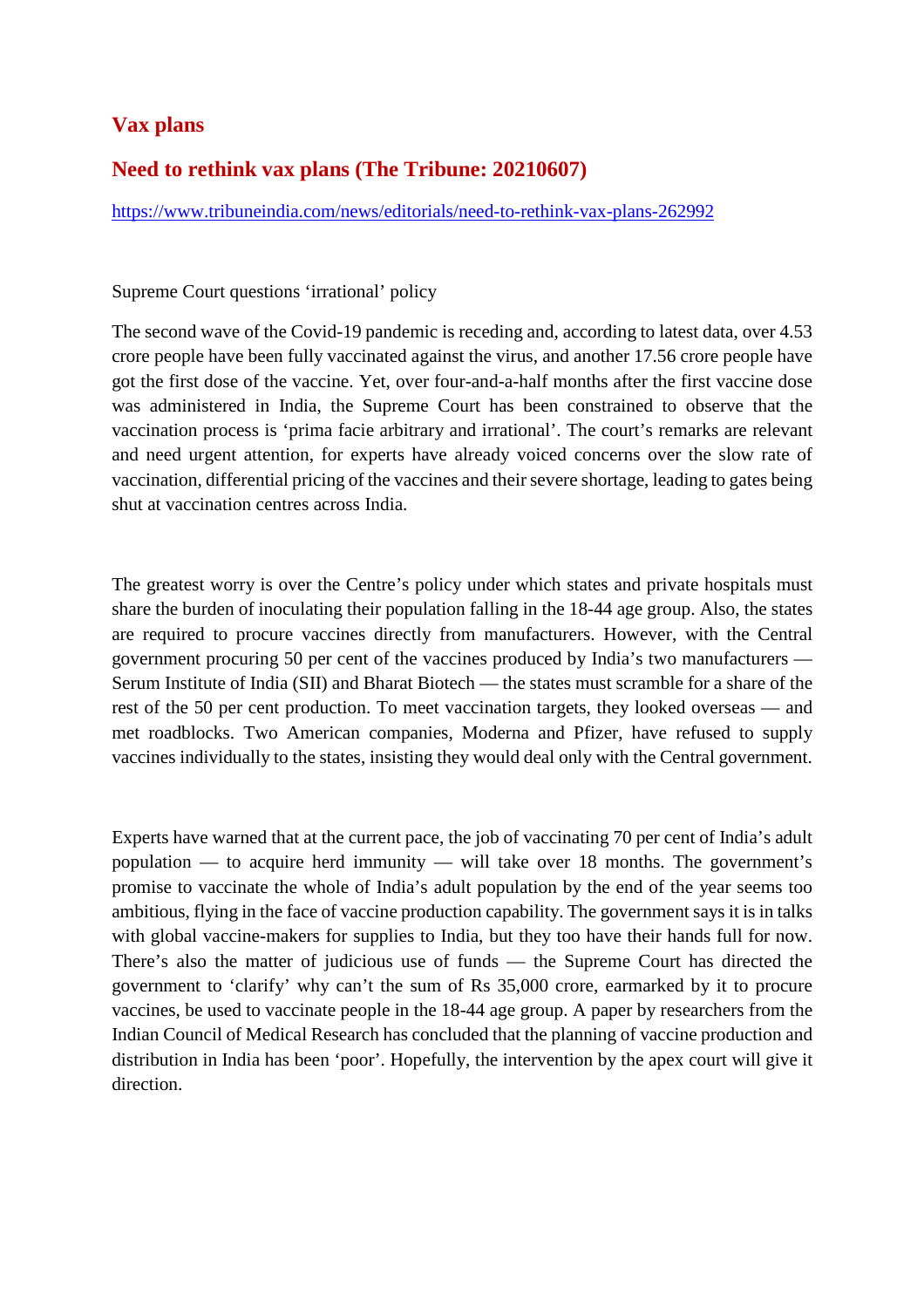#### **Vax plans**

#### **Need to rethink vax plans (The Tribune: 20210607)**

https://www.tribuneindia.com/news/editorials/need-to-rethink-vax-plans-262992

#### Supreme Court questions 'irrational' policy

The second wave of the Covid-19 pandemic is receding and, according to latest data, over 4.53 crore people have been fully vaccinated against the virus, and another 17.56 crore people have got the first dose of the vaccine. Yet, over four-and-a-half months after the first vaccine dose was administered in India, the Supreme Court has been constrained to observe that the vaccination process is 'prima facie arbitrary and irrational'. The court's remarks are relevant and need urgent attention, for experts have already voiced concerns over the slow rate of vaccination, differential pricing of the vaccines and their severe shortage, leading to gates being shut at vaccination centres across India.

The greatest worry is over the Centre's policy under which states and private hospitals must share the burden of inoculating their population falling in the 18-44 age group. Also, the states are required to procure vaccines directly from manufacturers. However, with the Central government procuring 50 per cent of the vaccines produced by India's two manufacturers — Serum Institute of India (SII) and Bharat Biotech — the states must scramble for a share of the rest of the 50 per cent production. To meet vaccination targets, they looked overseas — and met roadblocks. Two American companies, Moderna and Pfizer, have refused to supply vaccines individually to the states, insisting they would deal only with the Central government.

Experts have warned that at the current pace, the job of vaccinating 70 per cent of India's adult population — to acquire herd immunity — will take over 18 months. The government's promise to vaccinate the whole of India's adult population by the end of the year seems too ambitious, flying in the face of vaccine production capability. The government says it is in talks with global vaccine-makers for supplies to India, but they too have their hands full for now. There's also the matter of judicious use of funds — the Supreme Court has directed the government to 'clarify' why can't the sum of Rs 35,000 crore, earmarked by it to procure vaccines, be used to vaccinate people in the 18-44 age group. A paper by researchers from the Indian Council of Medical Research has concluded that the planning of vaccine production and distribution in India has been 'poor'. Hopefully, the intervention by the apex court will give it direction.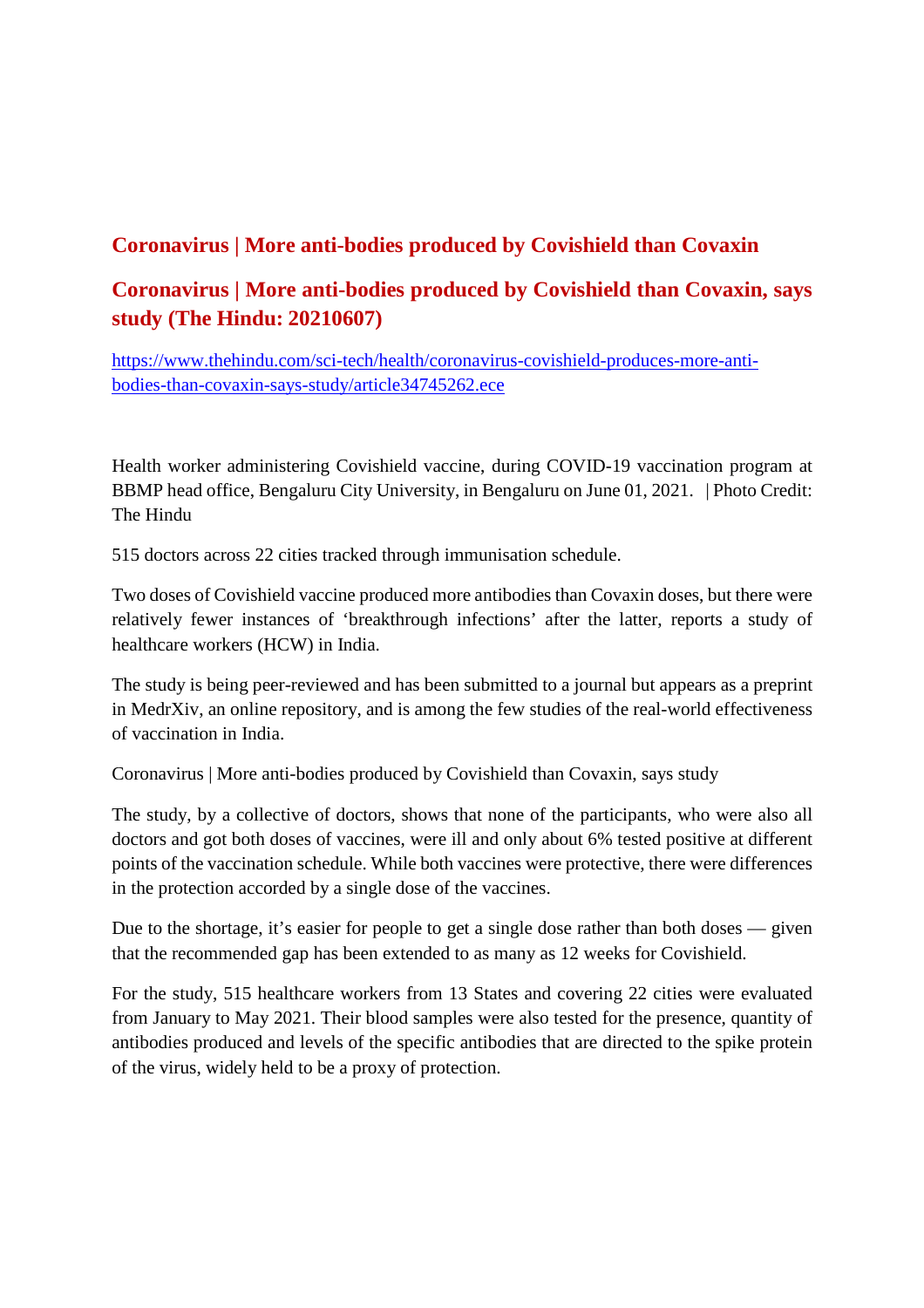#### **Coronavirus | More anti-bodies produced by Covishield than Covaxin**

#### **Coronavirus | More anti-bodies produced by Covishield than Covaxin, says study (The Hindu: 20210607)**

https://www.thehindu.com/sci-tech/health/coronavirus-covishield-produces-more-antibodies-than-covaxin-says-study/article34745262.ece

Health worker administering Covishield vaccine, during COVID-19 vaccination program at BBMP head office, Bengaluru City University, in Bengaluru on June 01, 2021. | Photo Credit: The Hindu

515 doctors across 22 cities tracked through immunisation schedule.

Two doses of Covishield vaccine produced more antibodies than Covaxin doses, but there were relatively fewer instances of 'breakthrough infections' after the latter, reports a study of healthcare workers (HCW) in India.

The study is being peer-reviewed and has been submitted to a journal but appears as a preprint in MedrXiv, an online repository, and is among the few studies of the real-world effectiveness of vaccination in India.

Coronavirus | More anti-bodies produced by Covishield than Covaxin, says study

The study, by a collective of doctors, shows that none of the participants, who were also all doctors and got both doses of vaccines, were ill and only about 6% tested positive at different points of the vaccination schedule. While both vaccines were protective, there were differences in the protection accorded by a single dose of the vaccines.

Due to the shortage, it's easier for people to get a single dose rather than both doses — given that the recommended gap has been extended to as many as 12 weeks for Covishield.

For the study, 515 healthcare workers from 13 States and covering 22 cities were evaluated from January to May 2021. Their blood samples were also tested for the presence, quantity of antibodies produced and levels of the specific antibodies that are directed to the spike protein of the virus, widely held to be a proxy of protection.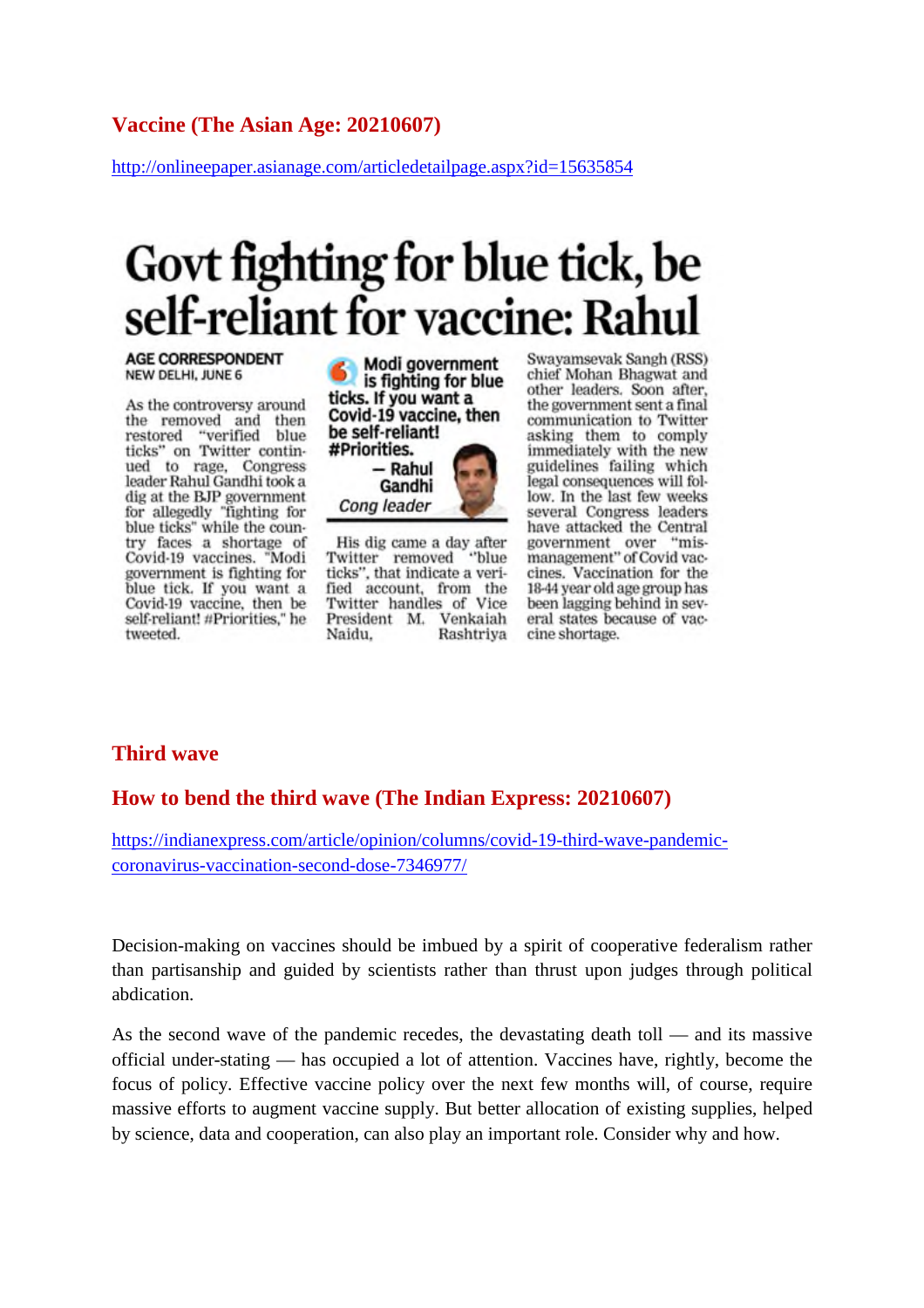#### **Vaccine (The Asian Age: 20210607)**

http://onlineepaper.asianage.com/articledetailpage.aspx?id=15635854

## Govt fighting for blue tick, be self-reliant for vaccine: Rahul

#### **AGE CORRESPONDENT** NEW DELHI, JUNE 6

As the controversy around the removed and then restored "verified blue ticks" on Twitter continued to rage, Congress leader Rahul Gandhi took a dig at the BJP government<br>for allegedly "fighting for blue ticks" while the country faces a shortage of Covid-19 vaccines. "Modi government is fighting for blue tick. If you want a Covid-19 vaccine, then be self-reliant! #Priorities," he tweeted.



His dig came a day after "blue Twitter removed ticks", that indicate a verified account, from the Twitter handles of Vice President M. Venkaiah Naidu. Rashtriya

Cong leader

Swayamsevak Sangh (RSS) chief Mohan Bhagwat and other leaders. Soon after, the government sent a final communication to Twitter asking them to comply immediately with the new guidelines failing which legal consequences will follow. In the last few weeks several Congress leaders have attacked the Central government over "mis-<br>management" of Covid vac-"miscines. Vaccination for the 18-44 year old age group has been lagging behind in several states because of vaccine shortage.

#### **Third wave**

#### **How to bend the third wave (The Indian Express: 20210607)**

https://indianexpress.com/article/opinion/columns/covid-19-third-wave-pandemiccoronavirus-vaccination-second-dose-7346977/

Decision-making on vaccines should be imbued by a spirit of cooperative federalism rather than partisanship and guided by scientists rather than thrust upon judges through political abdication.

As the second wave of the pandemic recedes, the devastating death toll — and its massive official under-stating — has occupied a lot of attention. Vaccines have, rightly, become the focus of policy. Effective vaccine policy over the next few months will, of course, require massive efforts to augment vaccine supply. But better allocation of existing supplies, helped by science, data and cooperation, can also play an important role. Consider why and how.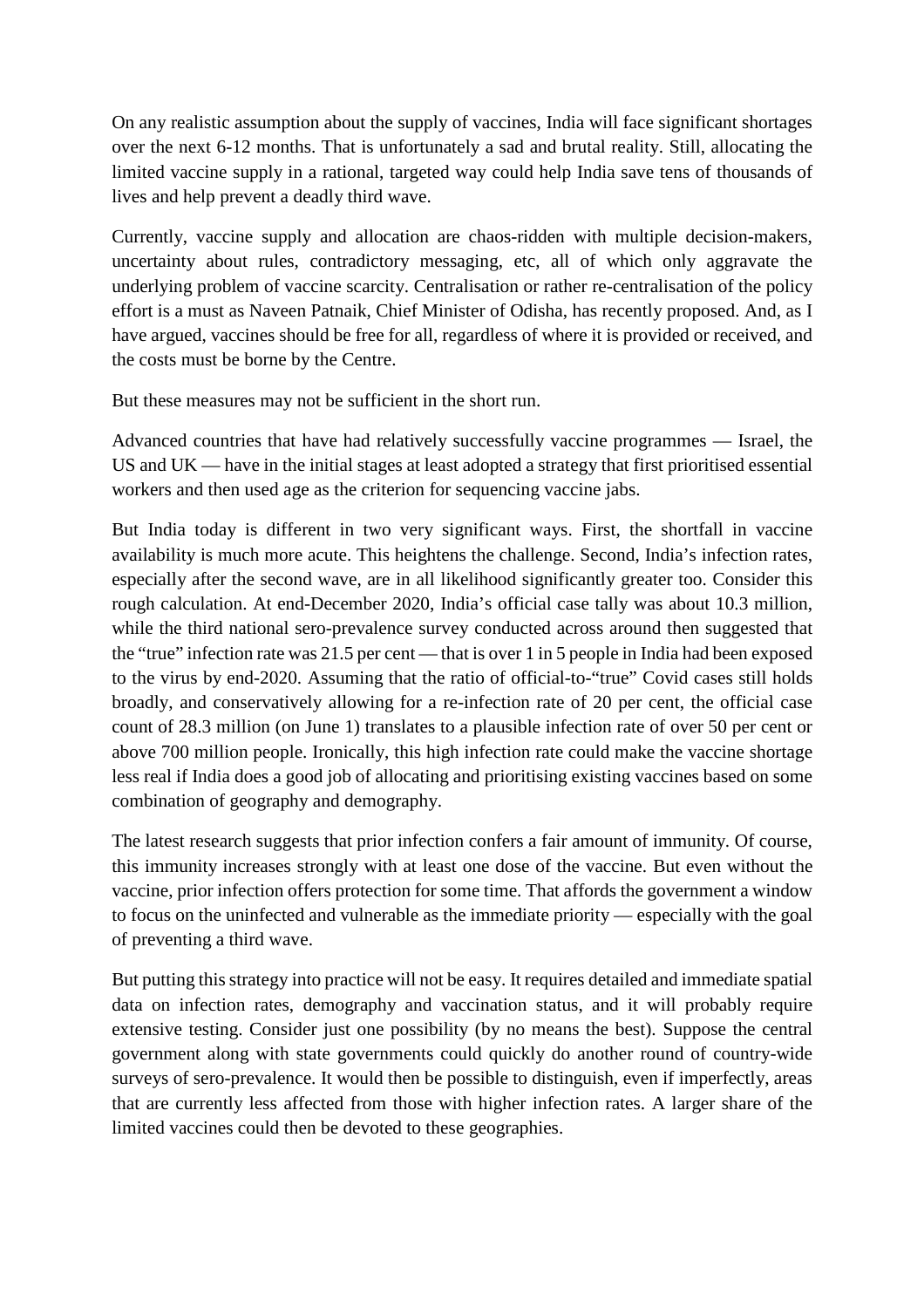On any realistic assumption about the supply of vaccines, India will face significant shortages over the next 6-12 months. That is unfortunately a sad and brutal reality. Still, allocating the limited vaccine supply in a rational, targeted way could help India save tens of thousands of lives and help prevent a deadly third wave.

Currently, vaccine supply and allocation are chaos-ridden with multiple decision-makers, uncertainty about rules, contradictory messaging, etc, all of which only aggravate the underlying problem of vaccine scarcity. Centralisation or rather re-centralisation of the policy effort is a must as Naveen Patnaik, Chief Minister of Odisha, has recently proposed. And, as I have argued, vaccines should be free for all, regardless of where it is provided or received, and the costs must be borne by the Centre.

But these measures may not be sufficient in the short run.

Advanced countries that have had relatively successfully vaccine programmes — Israel, the US and UK — have in the initial stages at least adopted a strategy that first prioritised essential workers and then used age as the criterion for sequencing vaccine jabs.

But India today is different in two very significant ways. First, the shortfall in vaccine availability is much more acute. This heightens the challenge. Second, India's infection rates, especially after the second wave, are in all likelihood significantly greater too. Consider this rough calculation. At end-December 2020, India's official case tally was about 10.3 million, while the third national sero-prevalence survey conducted across around then suggested that the "true" infection rate was 21.5 per cent — that is over 1 in 5 people in India had been exposed to the virus by end-2020. Assuming that the ratio of official-to-"true" Covid cases still holds broadly, and conservatively allowing for a re-infection rate of 20 per cent, the official case count of 28.3 million (on June 1) translates to a plausible infection rate of over 50 per cent or above 700 million people. Ironically, this high infection rate could make the vaccine shortage less real if India does a good job of allocating and prioritising existing vaccines based on some combination of geography and demography.

The latest research suggests that prior infection confers a fair amount of immunity. Of course, this immunity increases strongly with at least one dose of the vaccine. But even without the vaccine, prior infection offers protection for some time. That affords the government a window to focus on the uninfected and vulnerable as the immediate priority — especially with the goal of preventing a third wave.

But putting this strategy into practice will not be easy. It requires detailed and immediate spatial data on infection rates, demography and vaccination status, and it will probably require extensive testing. Consider just one possibility (by no means the best). Suppose the central government along with state governments could quickly do another round of country-wide surveys of sero-prevalence. It would then be possible to distinguish, even if imperfectly, areas that are currently less affected from those with higher infection rates. A larger share of the limited vaccines could then be devoted to these geographies.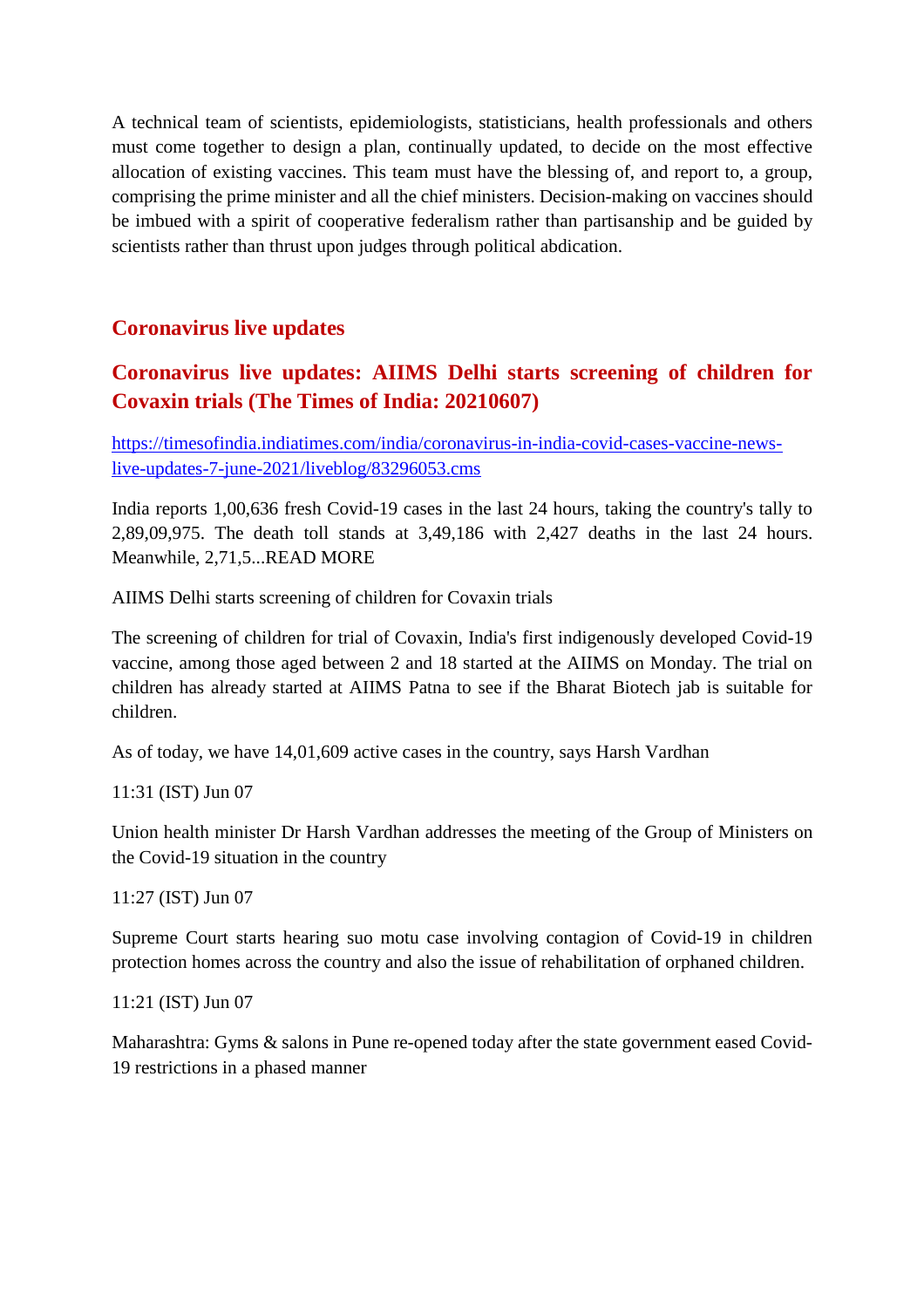A technical team of scientists, epidemiologists, statisticians, health professionals and others must come together to design a plan, continually updated, to decide on the most effective allocation of existing vaccines. This team must have the blessing of, and report to, a group, comprising the prime minister and all the chief ministers. Decision-making on vaccines should be imbued with a spirit of cooperative federalism rather than partisanship and be guided by scientists rather than thrust upon judges through political abdication.

#### **Coronavirus live updates**

#### **Coronavirus live updates: AIIMS Delhi starts screening of children for Covaxin trials (The Times of India: 20210607)**

https://timesofindia.indiatimes.com/india/coronavirus-in-india-covid-cases-vaccine-newslive-updates-7-june-2021/liveblog/83296053.cms

India reports 1,00,636 fresh Covid-19 cases in the last 24 hours, taking the country's tally to 2,89,09,975. The death toll stands at 3,49,186 with 2,427 deaths in the last 24 hours. Meanwhile, 2,71,5...READ MORE

AIIMS Delhi starts screening of children for Covaxin trials

The screening of children for trial of Covaxin, India's first indigenously developed Covid-19 vaccine, among those aged between 2 and 18 started at the AIIMS on Monday. The trial on children has already started at AIIMS Patna to see if the Bharat Biotech jab is suitable for children.

As of today, we have 14,01,609 active cases in the country, says Harsh Vardhan

11:31 (IST) Jun 07

Union health minister Dr Harsh Vardhan addresses the meeting of the Group of Ministers on the Covid-19 situation in the country

11:27 (IST) Jun 07

Supreme Court starts hearing suo motu case involving contagion of Covid-19 in children protection homes across the country and also the issue of rehabilitation of orphaned children.

11:21 (IST) Jun 07

Maharashtra: Gyms & salons in Pune re-opened today after the state government eased Covid-19 restrictions in a phased manner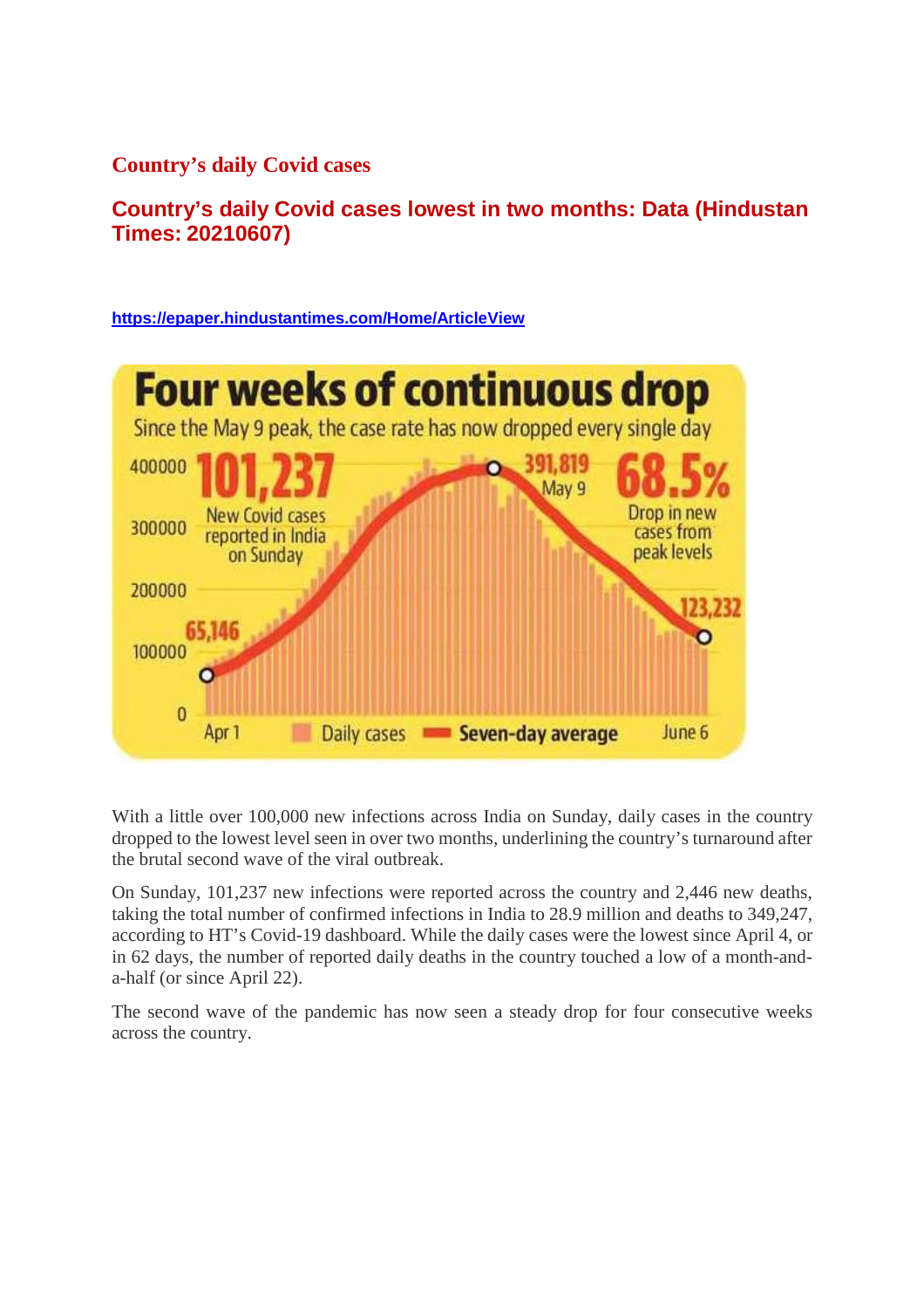**Country's daily Covid cases**

**Country's daily Covid cases lowest in two months: Data (Hindustan Times: 20210607)**

**https://epaper.hindustantimes.com/Home/ArticleView**



With a little over 100,000 new infections across India on Sunday, daily cases in the country dropped to the lowest level seen in over two months, underlining the country's turnaround after the brutal second wave of the viral outbreak.

On Sunday, 101,237 new infections were reported across the country and 2,446 new deaths, taking the total number of confirmed infections in India to 28.9 million and deaths to 349,247, according to HT's Covid-19 dashboard. While the daily cases were the lowest since April 4, or in 62 days, the number of reported daily deaths in the country touched a low of a month-anda-half (or since April 22).

The second wave of the pandemic has now seen a steady drop for four consecutive weeks across the country.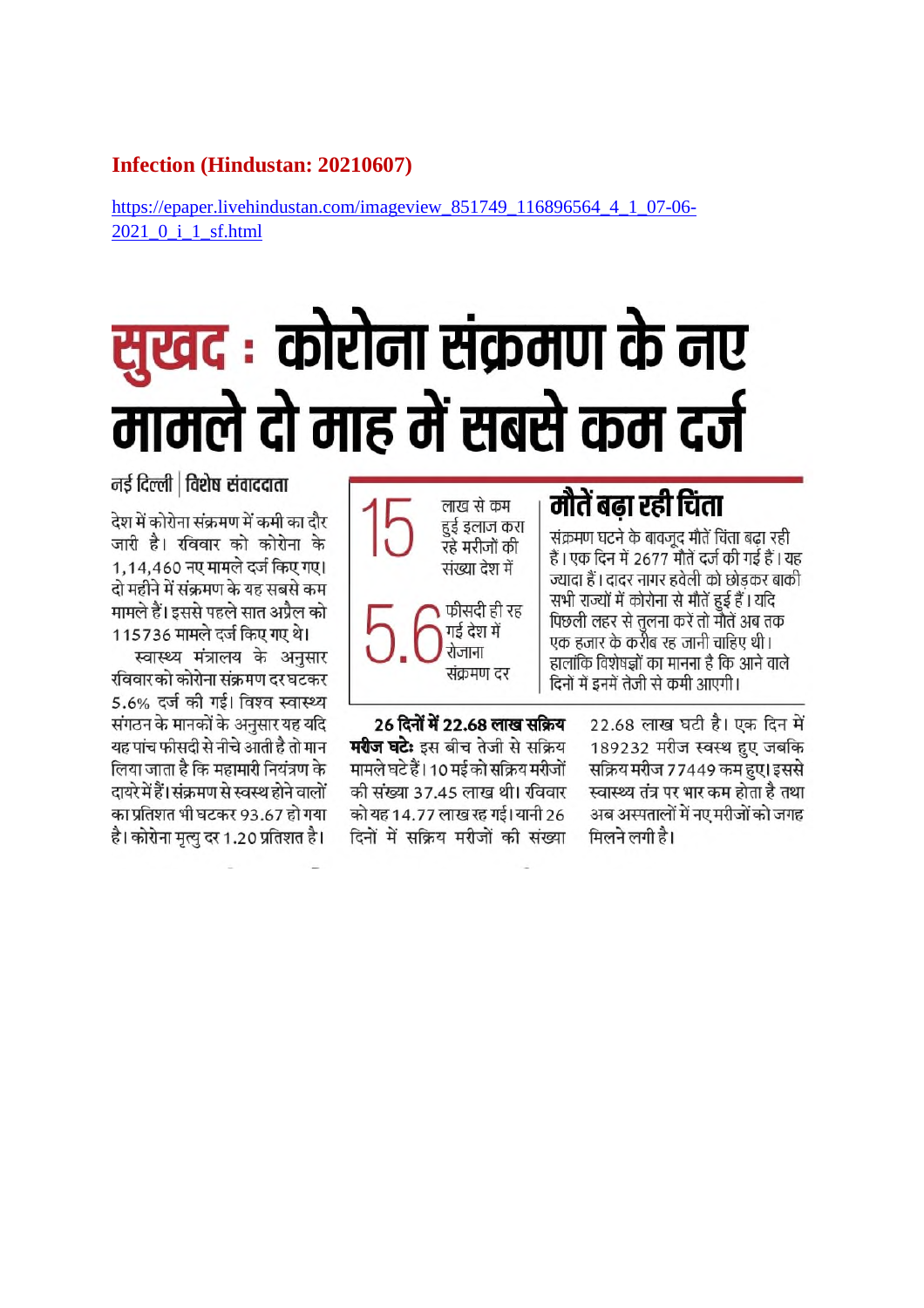#### **Infection (Hindustan: 20210607)**

https://epaper.livehindustan.com/imageview 851749 116896564 4 1 07-06-2021 0 i 1 sf.html

# सुखद : कोरोना संक्रमण के नए मामले दो माह में सबसे कम दर्ज

मौतें बढा रही चिंता लाख से कम हुई इलाज करा संक्रमण घटने के बावजूद मौतें चिंता बढा रही रहे मरीजों की हैं । एक दिन में 2677 मौतें दर्ज की गई हैं । यह संख्या देश में ज्यादा हैं। दादर नागर हवेली को छोडकर बाकी सभी राज्यों में कोरोना से मौतें हुई हैं। यदि फीसदी ही रह पिछली लहर से तुलना करें तो मौतें अब तक गई देश में एक हजार के करीब रह जानी चाहिए थी। रोजाना हालांकि विशेषज्ञों का मानना है कि आने वाले संक्रमण दर दिनों में इनमें तेजी से कमी आएगी।

> 22.68 लाख घटी है। एक दिन में 189232 मरीज स्वस्थ हुए जबकि सक्रिय मरीज 77449 कम हुए। इससे स्वास्थ्य तंत्र पर भार कम होता है तथा अब अस्पतालों में नए मरीजों को जगह मिलने लगी है।

26 दिनों में 22.68 लाख सक्रिय मरीज घटेः इस बीच तेजी से सक्रिय मामले घटे हैं। 10 मई को सक्रिय मरीजों की संख्या 37.45 लाख थी। रविवार को यह 14.77 लाख रह गई। यानी 26

दिनों में सक्रिय मरीजों की संख्या

नर्ड दिल्ली | विशेष संवाददाता

देश में कोरोना संक्रमण में कमी का दौर जारी है। रविवार को कोरोना के 1.14.460 नए मामले दर्ज किए गए। दो महीने में संक्रमण के यह सबसे कम मामले हैं। इससे पहले सात अप्रैल को 115736 मामले दर्ज किए गए थे।

स्वास्थ्य मंत्रालय के अनुसार रविवार को कोरोना संक्रमण दर घटकर 5.6% दर्ज की गई। विश्व स्वास्थ्य संगठन के मानकों के अनुसार यह यदि यह पांच फीसदी से नीचे आती है तो मान लिया जाता है कि महामारी नियंत्रण के दायरे में हैं। संक्रमण से स्वस्थ होने वालों का प्रतिशत भी घटकर 93.67 हो गया है। कोरोना मृत्यु दर 1.20 प्रतिशत है।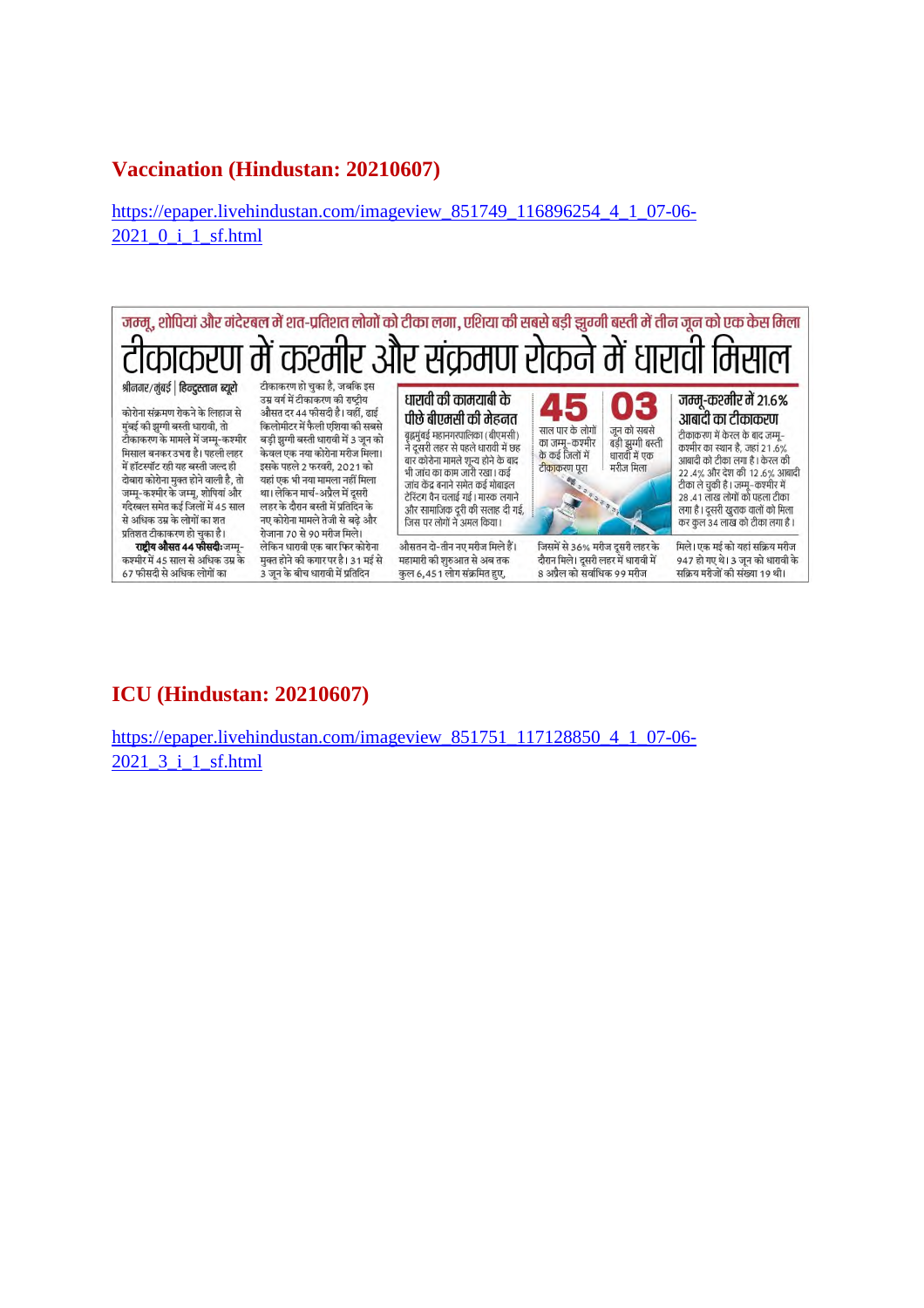#### **Vaccination (Hindustan: 20210607)**

https://epaper.livehindustan.com/imageview\_851749\_116896254\_4\_1\_07-06- 2021\_0\_i\_1\_sf.html



#### **ICU (Hindustan: 20210607)**

https://epaper.livehindustan.com/imageview\_851751\_117128850\_4\_1\_07-06- 2021 3 i 1 sf.html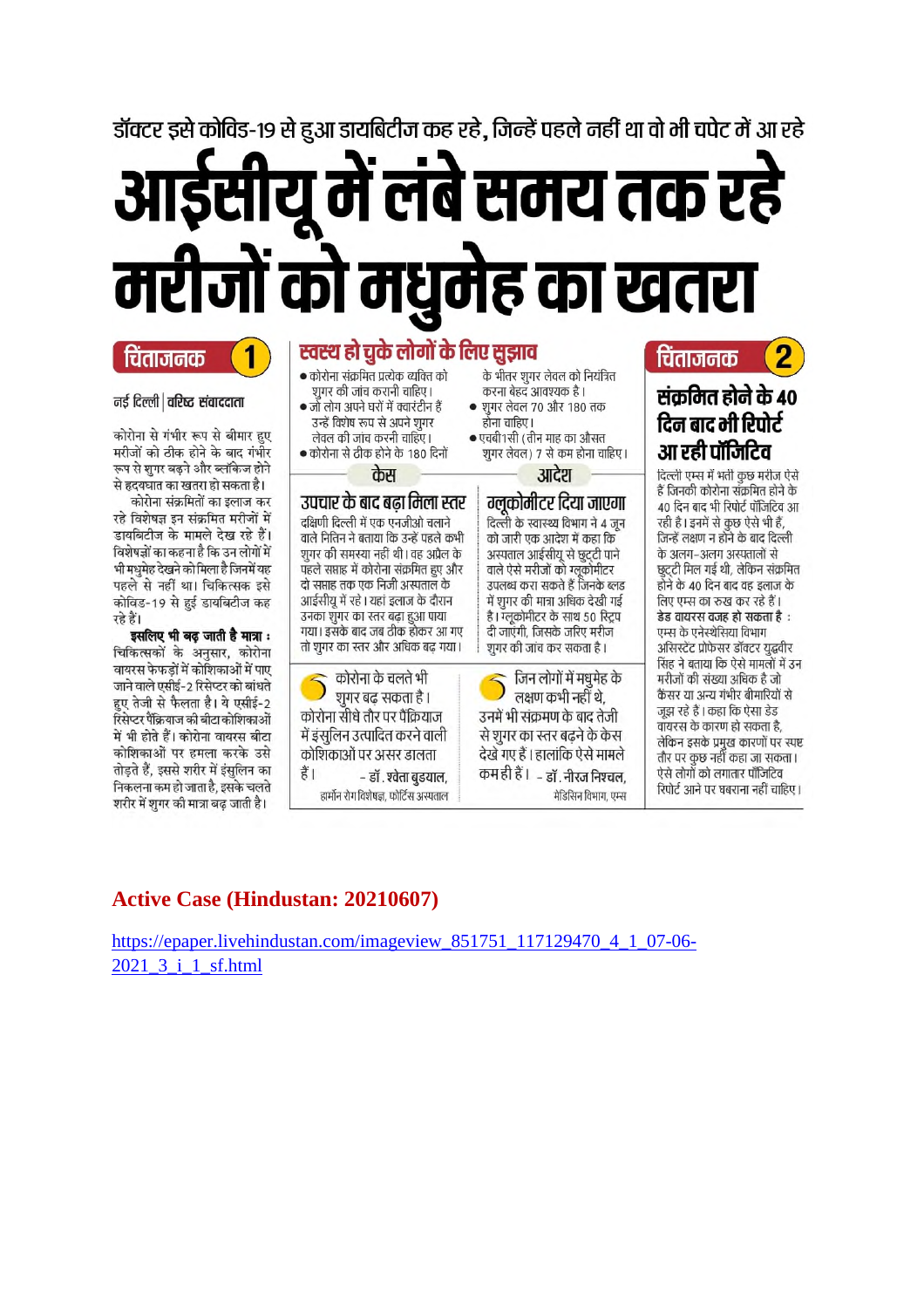डॉक्टर इसे कोविड-19 से हुआ डायबिटीज कह रहे. जिन्हें पहले नहीं था वो भी चपेट में आ रहे

# में लंबे समय तक रहे मरीजों को मधुमेह का खतरा

#### चिताजनक

#### नई दिल्ली | वरिष्ट संवाददाता

कोरोना से गंभीर रूप से बीमार हुए मरीजों को ठीक होने के बाद गंभीर रूप से शुगर बढ़ने और ब्लॉकेज होने से हृदयघात का खतरा हो सकता है। कोरोना संक्रमितों का इलाज कर

रहे विशेषज्ञ इन संक्रमित मरीजों में डायबिटीज के मामले देख रहे हैं। विशेषज्ञों का कहना है कि उन लोगों में भी मधुमेह देखने को मिला है जिनमें यह पहले से नहीं था। चिकित्सक इसे कोविड-19 से हुई डायबिटीज कह रहे हैं।

इसलिए भी बढ़ जाती है मात्रा : चिकित्सकों के अनुसार, कोरोना वायरस फेफड़ों में कोशिकाओं में पाए जाने वाले एसीई-2 रिसेप्टर को बांधते हुए तेजी से फैलता है। ये एसीई-2 रिसेप्टर पैंक्रियाज की बीटा कोशिकाओं में भी होते हैं। कोरोना वायरस बीटा कोशिकाओं पर हमला करके उसे तोड़ते हैं, इससे शरीर में इंसुलिन का निकलना कम हो जाता है, इसके चलते शरीर में शुगर की मात्रा बढ़ जाती है।

### स्वस्थ हो चुके लोगों के लिए सुझाव

- कोरोना संक्रमित प्रत्येक व्यक्ति को शुगर की जांच करानी चाहिए। • जो लोग अपने घरों में क्वारंटीन हैं
	- उन्हें विशेष रूप से अपने शुगर लेवल की जांच करनी चाहिए।
- कोरोना से ठीक होने के 180 दिनों

#### केस उपचार के बाद बढा मिला स्तर

दक्षिणी दिल्ली में एक एनजीओ चलाने वाले नितिन ने बताया कि उन्हें पहले कभी शुगर की समस्या नहीं थी। वह अप्रैल के पहले सप्ताह में कोरोना संक्रमित हुए और दो सप्ताह तक एक निजी अस्पताल के आईसीयू में रहे । यहां इलाज के दौरान उनका शुगर का स्तर बढ़ा हुआ पाया गया। इसके बाद जब ठीक होकर आ गए तो शुगर का स्तर और अधिक बढ़ गया।

कोरोना के चलते भी शूगर बढ़ सकता है । कोरोना सीधे तौर पर पैंक्रियाज में इंसुलिन उत्पादित करने वाली कोशिकाओं पर असर डालता हैं। - डॉ. श्वेता बुडयाल, हार्मोन रोग विशेषज्ञ, फोर्टिस अस्पताल

- के भीतर शगर लेवल को नियंत्रित करना बेहद आवश्यक है। • शुगर लेवल 70 और 180 तक होना चाहिए।
- एचबी1सी (तीन माह का औसत शूगर लेवल) 7 से कम होना चाहिए।

आदेश

#### ग्लकोमीटर दिया जाएगा दिल्ली के स्वास्थ्य विभाग ने 4 जून

को जारी एक आदेश में कहा कि अस्पताल आईसीयू से छूदटी पाने वाले ऐसे मरीजों को ग्लूकोमीटर उपलब्ध करा सकते हैं जिनके ब्लड में शुगर की मात्रा अधिक देखी गई है। ग्लूकोमीटर के साथ 50 स्ट्रिप दी जाएंगी, जिसके जरिए मरीज शूगर की जांच कर सकता है।

जिन लोगों में मधुमेह के लक्षण कभी नहीं थे. उनमें भी संक्रमण के बाद तेजी से शुगर का स्तर बढ़ने के केस देखे गए हैं । हालांकि ऐसे मामले कम ही हैं । ... डॉ . नीरज निश्चल, मेडिसिन विभाग, एम्स

### र्चिताजनक संकमित होने के 40 दिन बाद भी रिपोर्ट

आ रही पॉजिटिव दिल्ली एम्स में भर्ती कुछ मरीज ऐसे हैं जिनकी कोरोना सँक्रमित होने के 40 दिन बाद भी रिपोर्ट पॉजिटिव आ रही है। इनमें से कुछ ऐसे भी हैं, जिन्हें लक्षण न होने के बाद दिल्ली के अलग-अलग अस्पतालों से छुट्टी मिल गई थी, लेकिन संक्रमित होने के 40 दिन बाद वह इलाज के लिए एम्स का रुख कर रहे हैं। डेड वायरस वजह हो सकता है : एम्स के एनेस्थेसिया विभाग असिस्टेंट प्रोफेसर डॉक्टर युद्धवीर सिंह ने बताया कि ऐसे मामलों में उन मरीजों की संख्या अधिक है जो कैंसर या अन्य गंभीर बीमारियों से जझ रहे हैं। कहा कि ऐसा डेड वायरस के कारण हो सकता है. लेकिन इसके प्रमुख कारणों पर स्पष्ट तौर पर कुछ नहीं कहा जा सकता। ऐसे लोगों को लगातार पॉंजिटिव रिपोर्ट आने पर घबराना नहीं चाहिए।

### **Active Case (Hindustan: 20210607)**

https://epaper.livehindustan.com/imageview 851751 117129470 4 1 07-06-2021 3 i 1 sf.html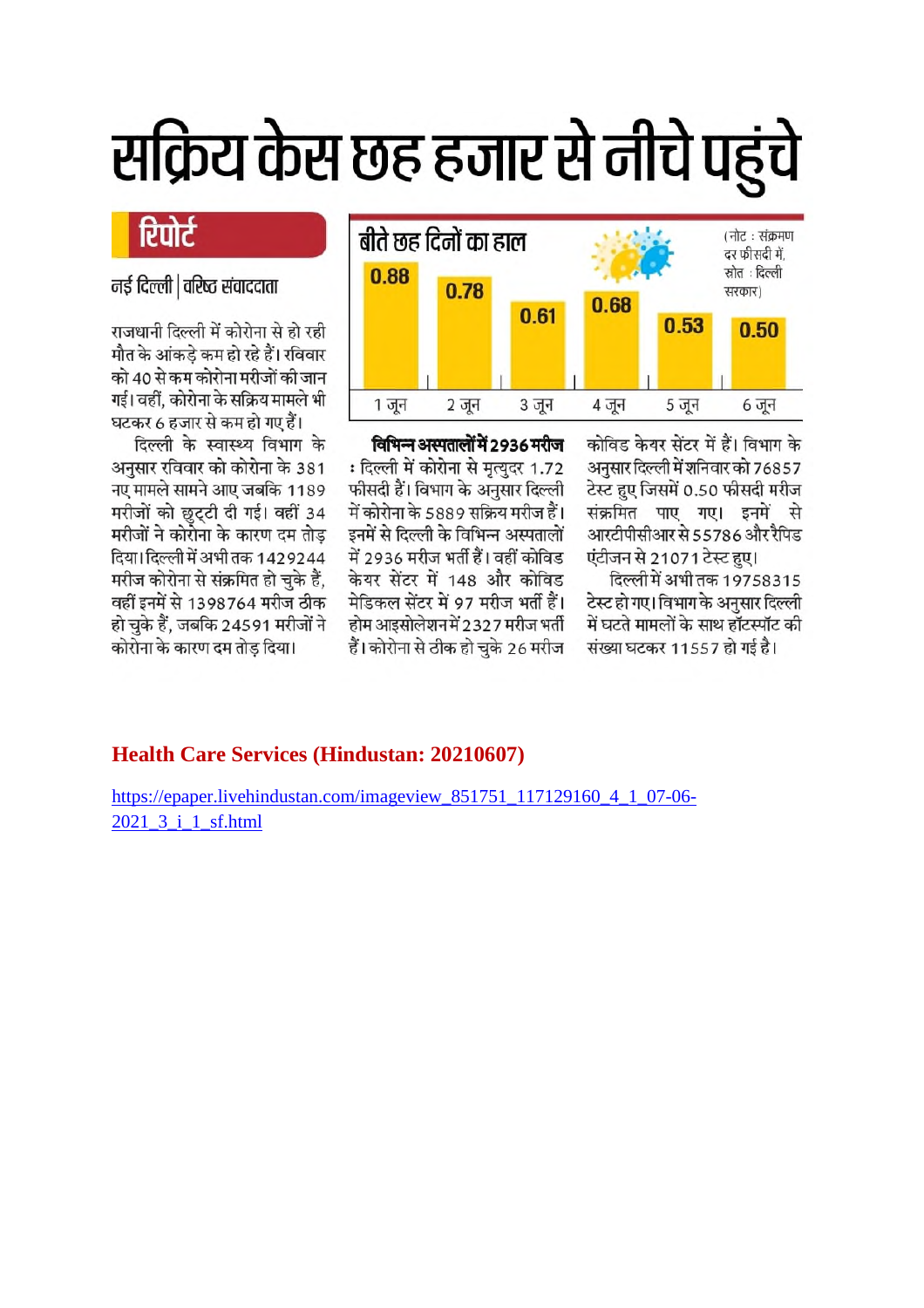# सक्रिय केस छह हजार से नीचे पहुंचे



कोविड केयर सेंटर में हैं। विभाग के अनुसार दिल्ली में शनिवार को 76857 टेस्ट हुए जिसमें 0.50 फीसदी मरीज संक्रमित पाए गए। इनमें से आरटीपीसीआर से 55786 और रैपिड एंटीजन से 21071 टेस्ट हए।

दिल्ली में अभी तक 19758315 टेस्ट हो गए। विभाग के अनुसार दिल्ली में घटते मामलों के साथ हॉटस्पॉट की संख्या घटकर 11557 हो गई है।

विभिन्न अस्पतालों में 2936 मरीज : दिल्ली में कोरोना से मृत्युदर 1.72 फीसदी हैं। विभाग के अनुसार दिल्ली में कोरोना के 5889 सक्रिय मरीज हैं। इनमें से दिल्ली के विभिन्न अस्पतालों में 2936 मरीज भर्ती हैं। वहीं कोविड केयर सेंटर में 148 और कोविड मेडिकल सेंटर में 97 मरीज भर्ती हैं। होम आइसोलेशन में 2327 मरीज भर्ती हैं। कोरोना से ठीक हो चुके 26 मरीज

## रिपोर्ट

नई दिल्ली | वरिष्ठ संवाददाता

राजधानी दिल्ली में कोरोना से हो रही मौत के आंकडे कम हो रहे हैं। रविवार को 40 से कम कोरोना मरीजों की जान गई। वहीं, कोरोना के सक्रिय मामले भी घटकर 6 हजार से कम हो गए हैं।

दिल्ली के स्वास्थ्य विभाग के अनुसार रविवार को कोरोना के 381 नए मामले सामने आए जबकि 1189 मरीजों को छुट्टी दी गई। वहीं 34 मरीजों ने कोरोना के कारण दम तोड़ दिया। दिल्ली में अभी तक 1429244 मरीज कोरोना से संक्रमित हो चुके हैं. वहीं इनमें से 1398764 मरीज ठीक हो चुके हैं, जबकि 24591 मरीजों ने कोरोना के कारण दम तोड दिया।

#### **Health Care Services (Hindustan: 20210607)**

https://epaper.livehindustan.com/imageview 851751 117129160 4 1 07-06-2021 3 i 1 sf.html